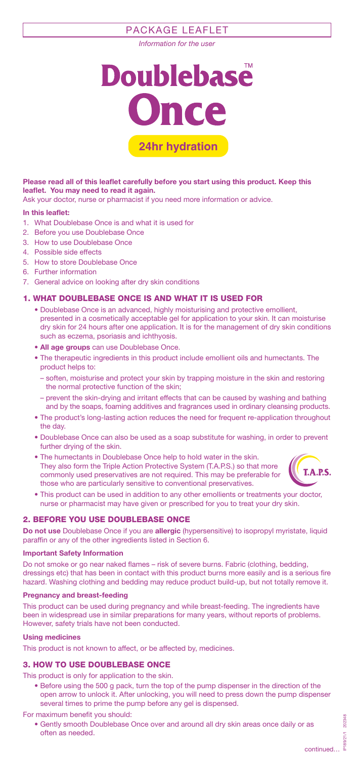# PACKAGE LEAFLET

*Information for the user*



**Please read all of this leaflet carefully before you start using this product. Keep this leaflet. You may need to read it again.**

Ask your doctor, nurse or pharmacist if you need more information or advice.

#### **In this leaflet:**

- 1. What Doublebase Once is and what it is used for
- 2. Before you use Doublebase Once
- 3. How to use Doublebase Once
- 4. Possible side effects
- 5. How to store Doublebase Once
- 6. Further information
- 7. General advice on looking after dry skin conditions

### 1. WHAT DOUBLEBASE ONCE IS AND WHAT IT IS USED FOR

- Doublebase Once is an advanced, highly moisturising and protective emollient, presented in a cosmetically acceptable gel for application to your skin. It can moisturise dry skin for 24 hours after one application. It is for the management of dry skin conditions such as eczema, psoriasis and ichthyosis.
- **All age groups** can use Doublebase Once.
- The therapeutic ingredients in this product include emollient oils and humectants. The product helps to:
	- soften, moisturise and protect your skin by trapping moisture in the skin and restoring the normal protective function of the skin;
	- prevent the skin-drying and irritant effects that can be caused by washing and bathing and by the soaps, foaming additives and fragrances used in ordinary cleansing products.
- The product's long-lasting action reduces the need for frequent re-application throughout the day.
- Doublebase Once can also be used as a soap substitute for washing, in order to prevent further drying of the skin.
- The humectants in Doublebase Once help to hold water in the skin. They also form the Triple Action Protective System (T.A.P.S.) so that more commonly used preservatives are not required. This may be preferable for those who are particularly sensitive to conventional preservatives.



• This product can be used in addition to any other emollients or treatments your doctor, nurse or pharmacist may have given or prescribed for you to treat your dry skin.

# 2. BEFORE YOU USE DOUBLEBASE ONCE

**Do not use** Doublebase Once if you are **allergic** (hypersensitive) to isopropyl myristate, liquid paraffin or any of the other ingredients listed in Section 6.

#### **Important Safety Information**

Do not smoke or go near naked flames – risk of severe burns. Fabric (clothing, bedding, dressings etc) that has been in contact with this product burns more easily and is a serious fire hazard. Washing clothing and bedding may reduce product build-up, but not totally remove it.

#### **Pregnancy and breast-feeding**

This product can be used during pregnancy and while breast-feeding. The ingredients have been in widespread use in similar preparations for many years, without reports of problems. However, safety trials have not been conducted.

#### **Using medicines**

This product is not known to affect, or be affected by, medicines.

### 3. HOW TO USE DOUBLEBASE ONCE

- This product is only for application to the skin.
	- Before using the 500 g pack, turn the top of the pump dispenser in the direction of the open arrow to unlock it. After unlocking, you will need to press down the pump dispenser several times to prime the pump before any gel is dispensed.

#### For maximum benefit you should:

• Gently smooth Doublebase Once over and around all dry skin areas once daily or as often as needed.